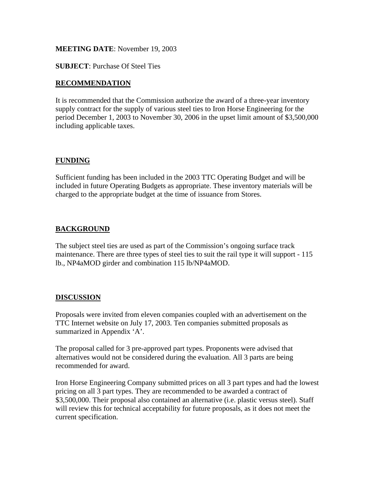## **MEETING DATE**: November 19, 2003

**SUBJECT**: Purchase Of Steel Ties

## **RECOMMENDATION**

It is recommended that the Commission authorize the award of a three-year inventory supply contract for the supply of various steel ties to Iron Horse Engineering for the period December 1, 2003 to November 30, 2006 in the upset limit amount of \$3,500,000 including applicable taxes.

## **FUNDING**

Sufficient funding has been included in the 2003 TTC Operating Budget and will be included in future Operating Budgets as appropriate. These inventory materials will be charged to the appropriate budget at the time of issuance from Stores.

# **BACKGROUND**

The subject steel ties are used as part of the Commission's ongoing surface track maintenance. There are three types of steel ties to suit the rail type it will support - 115 lb., NP4aMOD girder and combination 115 lb/NP4aMOD.

#### **DISCUSSION**

Proposals were invited from eleven companies coupled with an advertisement on the TTC Internet website on July 17, 2003. Ten companies submitted proposals as summarized in Appendix 'A'.

The proposal called for 3 pre-approved part types. Proponents were advised that alternatives would not be considered during the evaluation. All 3 parts are being recommended for award.

Iron Horse Engineering Company submitted prices on all 3 part types and had the lowest pricing on all 3 part types. They are recommended to be awarded a contract of \$3,500,000. Their proposal also contained an alternative (i.e. plastic versus steel). Staff will review this for technical acceptability for future proposals, as it does not meet the current specification.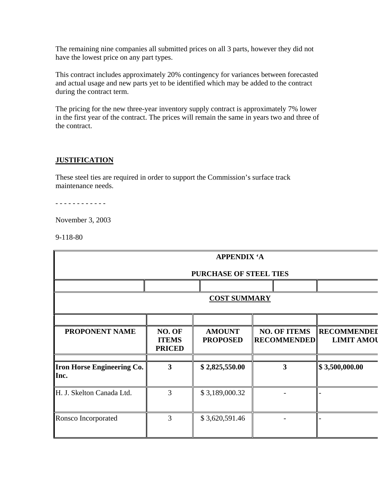The remaining nine companies all submitted prices on all 3 parts, however they did not have the lowest price on any part types.

This contract includes approximately 20% contingency for variances between forecasted and actual usage and new parts yet to be identified which may be added to the contract during the contract term.

The pricing for the new three-year inventory supply contract is approximately 7% lower in the first year of the contract. The prices will remain the same in years two and three of the contract.

## **JUSTIFICATION**

These steel ties are required in order to support the Commission's surface track maintenance needs.

- - - - - - - - - - - -

November 3, 2003

9-118-80

| <b>APPENDIX 'A</b>                        |                                         |                                  |                                           |                                         |  |  |  |
|-------------------------------------------|-----------------------------------------|----------------------------------|-------------------------------------------|-----------------------------------------|--|--|--|
| <b>PURCHASE OF STEEL TIES</b>             |                                         |                                  |                                           |                                         |  |  |  |
|                                           |                                         |                                  |                                           |                                         |  |  |  |
| <b>COST SUMMARY</b>                       |                                         |                                  |                                           |                                         |  |  |  |
|                                           |                                         |                                  |                                           |                                         |  |  |  |
| <b>PROPONENT NAME</b>                     | NO. OF<br><b>ITEMS</b><br><b>PRICED</b> | <b>AMOUNT</b><br><b>PROPOSED</b> | <b>NO. OF ITEMS</b><br><b>RECOMMENDED</b> | <b>RECOMMENDEI</b><br><b>LIMIT AMOU</b> |  |  |  |
| <b>Iron Horse Engineering Co.</b><br>Inc. | 3                                       | \$2,825,550.00                   | 3                                         | \$3,500,000.00                          |  |  |  |
| H. J. Skelton Canada Ltd.                 | 3                                       | \$3,189,000.32                   |                                           |                                         |  |  |  |
| Ronsco Incorporated                       | 3                                       | \$3,620,591.46                   |                                           |                                         |  |  |  |